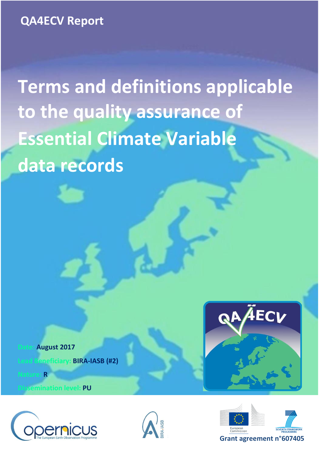**Terms and definitions applicable to the quality assurance of Essential Climate Variable data records**

 **Date: August 2017 Lead BENEFIEL BENEFIELD** 

**Nature: R**

**Discription level: PU** 







AECV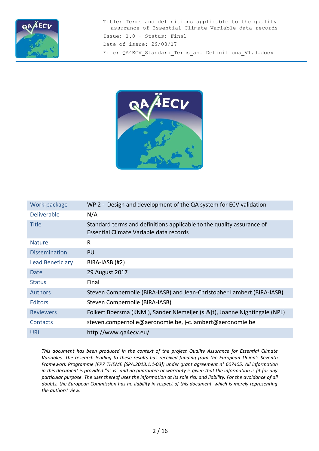



| Work-package            | WP 2 - Design and development of the QA system for ECV validation                                                |
|-------------------------|------------------------------------------------------------------------------------------------------------------|
| <b>Deliverable</b>      | N/A                                                                                                              |
| <b>Title</b>            | Standard terms and definitions applicable to the quality assurance of<br>Essential Climate Variable data records |
| <b>Nature</b>           | R                                                                                                                |
| <b>Dissemination</b>    | <b>PU</b>                                                                                                        |
| <b>Lead Beneficiary</b> | BIRA-IASB (#2)                                                                                                   |
| Date                    | 29 August 2017                                                                                                   |
| <b>Status</b>           | Final                                                                                                            |
| <b>Authors</b>          | Steven Compernolle (BIRA-IASB) and Jean-Christopher Lambert (BIRA-IASB)                                          |
| <b>Editors</b>          | Steven Compernolle (BIRA-IASB)                                                                                   |
| <b>Reviewers</b>        | Folkert Boersma (KNMI), Sander Niemeijer (s[&]t), Joanne Nightingale (NPL)                                       |
| Contacts                | steven.compernolle@aeronomie.be, j-c.lambert@aeronomie.be                                                        |
| URL                     | http://www.qa4ecv.eu/                                                                                            |

*This document has been produced in the context of the project Quality Assurance for Essential Climate Variables. The research leading to these results has received funding from the European Union's Seventh Framework Programme (FP7 THEME [SPA.2013.1.1-03]) under grant agreement n° 607405. All information in this document is provided "as is" and no guarantee or warranty is given that the information is fit for any particular purpose. The user thereof uses the information at its sole risk and liability. For the avoidance of all doubts, the European Commission has no liability in respect of this document, which is merely representing the authors' view.*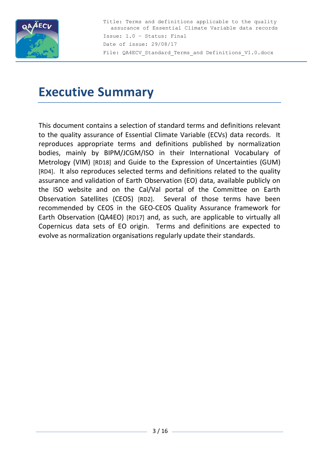

# **Executive Summary**

This document contains a selection of standard terms and definitions relevant to the quality assurance of Essential Climate Variable (ECVs) data records. It reproduces appropriate terms and definitions published by normalization bodies, mainly by BIPM/JCGM/ISO in their International Vocabulary of Metrology (VIM) [\[RD18\]](#page-14-0) and Guide to the Expression of Uncertainties (GUM) [\[RD4\]](#page-13-0). It also reproduces selected terms and definitions related to the quality assurance and validation of Earth Observation (EO) data, available publicly on the ISO website and on the Cal/Val portal of the Committee on Earth Observation Satellites (CEOS) [\[RD2\]](#page-13-1). Several of those terms have been recommended by CEOS in the GEO-CEOS Quality Assurance framework for Earth Observation (QA4EO) [\[RD17\]](#page-14-1) and, as such, are applicable to virtually all Copernicus data sets of EO origin. Terms and definitions are expected to evolve as normalization organisations regularly update their standards.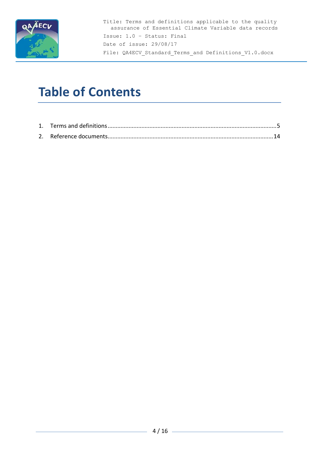

# **Table of Contents**

<span id="page-3-0"></span>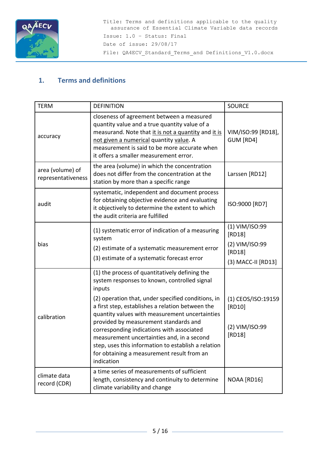

# **1. Terms and definitions**

| <b>TERM</b>                            | <b>DEFINITION</b>                                                                                                                                                                                                                                                                                                                                                                                                                                                                                                           | <b>SOURCE</b>                                                              |
|----------------------------------------|-----------------------------------------------------------------------------------------------------------------------------------------------------------------------------------------------------------------------------------------------------------------------------------------------------------------------------------------------------------------------------------------------------------------------------------------------------------------------------------------------------------------------------|----------------------------------------------------------------------------|
| accuracy                               | closeness of agreement between a measured<br>quantity value and a true quantity value of a<br>measurand. Note that it is not a quantity and it is<br>not given a numerical quantity value. A<br>measurement is said to be more accurate when<br>it offers a smaller measurement error.                                                                                                                                                                                                                                      | VIM/ISO:99 [RD18],<br>GUM [RD4]                                            |
| area (volume) of<br>representativeness | the area (volume) in which the concentration<br>does not differ from the concentration at the<br>station by more than a specific range                                                                                                                                                                                                                                                                                                                                                                                      | Larssen [RD12]                                                             |
| audit                                  | systematic, independent and document process<br>for obtaining objective evidence and evaluating<br>it objectively to determine the extent to which<br>the audit criteria are fulfilled                                                                                                                                                                                                                                                                                                                                      | ISO:9000 [RD7]                                                             |
| bias                                   | (1) systematic error of indication of a measuring<br>system<br>(2) estimate of a systematic measurement error<br>(3) estimate of a systematic forecast error                                                                                                                                                                                                                                                                                                                                                                | (1) VIM/ISO:99<br>[RD18]<br>(2) VIM/ISO:99<br>[RD18]<br>(3) MACC-II [RD13] |
| calibration                            | (1) the process of quantitatively defining the<br>system responses to known, controlled signal<br>inputs<br>(2) operation that, under specified conditions, in<br>a first step, establishes a relation between the<br>quantity values with measurement uncertainties<br>provided by measurement standards and<br>corresponding indications with associated<br>measurement uncertainties and, in a second<br>step, uses this information to establish a relation<br>for obtaining a measurement result from an<br>indication | (1) CEOS/ISO:19159<br>[RD10]<br>(2) VIM/ISO:99<br>[RD18]                   |
| climate data<br>record (CDR)           | a time series of measurements of sufficient<br>length, consistency and continuity to determine<br>climate variability and change                                                                                                                                                                                                                                                                                                                                                                                            | NOAA [RD16]                                                                |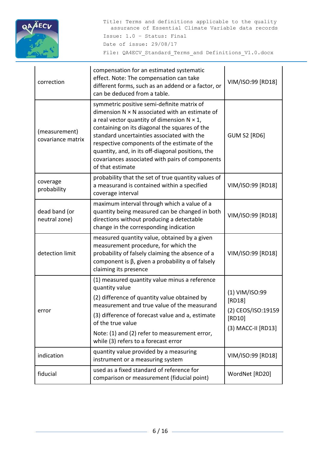

| correction                         | compensation for an estimated systematic<br>effect. Note: The compensation can take<br>different forms, such as an addend or a factor, or<br>can be deduced from a table.                                                                                                                                                                                                                                                            | VIM/ISO:99 [RD18]                                                              |
|------------------------------------|--------------------------------------------------------------------------------------------------------------------------------------------------------------------------------------------------------------------------------------------------------------------------------------------------------------------------------------------------------------------------------------------------------------------------------------|--------------------------------------------------------------------------------|
| (measurement)<br>covariance matrix | symmetric positive semi-definite matrix of<br>dimension $N \times N$ associated with an estimate of<br>a real vector quantity of dimension $N \times 1$ ,<br>containing on its diagonal the squares of the<br>standard uncertainties associated with the<br>respective components of the estimate of the<br>quantity, and, in its off-diagonal positions, the<br>covariances associated with pairs of components<br>of that estimate | <b>GUM S2 [RD6]</b>                                                            |
| coverage<br>probability            | probability that the set of true quantity values of<br>a measurand is contained within a specified<br>coverage interval                                                                                                                                                                                                                                                                                                              | VIM/ISO:99 [RD18]                                                              |
| dead band (or<br>neutral zone)     | maximum interval through which a value of a<br>quantity being measured can be changed in both<br>directions without producing a detectable<br>change in the corresponding indication                                                                                                                                                                                                                                                 | VIM/ISO:99 [RD18]                                                              |
| detection limit                    | measured quantity value, obtained by a given<br>measurement procedure, for which the<br>probability of falsely claiming the absence of a<br>component is $\beta$ , given a probability $\alpha$ of falsely<br>claiming its presence                                                                                                                                                                                                  | VIM/ISO:99 [RD18]                                                              |
| error                              | (1) measured quantity value minus a reference<br>quantity value<br>(2) difference of quantity value obtained by<br>measurement and true value of the measurand<br>(3) difference of forecast value and a, estimate<br>of the true value<br>Note: (1) and (2) refer to measurement error,<br>while (3) refers to a forecast error                                                                                                     | (1) VIM/ISO:99<br>[RD18]<br>(2) CEOS/ISO:19159<br>[RD10]<br>(3) MACC-II [RD13] |
| indication                         | quantity value provided by a measuring<br>instrument or a measuring system                                                                                                                                                                                                                                                                                                                                                           | VIM/ISO:99 [RD18]                                                              |
| fiducial                           | used as a fixed standard of reference for<br>comparison or measurement (fiducial point)                                                                                                                                                                                                                                                                                                                                              | WordNet [RD20]                                                                 |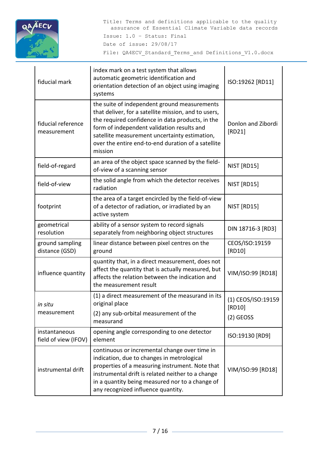

| fiducial mark                         | index mark on a test system that allows<br>automatic geometric identification and<br>orientation detection of an object using imaging<br>systems                                                                                                                                                                         | ISO:19262 [RD11]             |
|---------------------------------------|--------------------------------------------------------------------------------------------------------------------------------------------------------------------------------------------------------------------------------------------------------------------------------------------------------------------------|------------------------------|
| fiducial reference<br>measurement     | the suite of independent ground measurements<br>that deliver, for a satellite mission, and to users,<br>the required confidence in data products, in the<br>form of independent validation results and<br>satellite measurement uncertainty estimation,<br>over the entire end-to-end duration of a satellite<br>mission | Donlon and Zibordi<br>[RD21] |
| field-of-regard                       | an area of the object space scanned by the field-<br>of-view of a scanning sensor                                                                                                                                                                                                                                        | NIST [RD15]                  |
| field-of-view                         | the solid angle from which the detector receives<br>radiation                                                                                                                                                                                                                                                            | NIST [RD15]                  |
| footprint                             | the area of a target encircled by the field-of-view<br>of a detector of radiation, or irradiated by an<br>active system                                                                                                                                                                                                  | NIST [RD15]                  |
| geometrical<br>resolution             | ability of a sensor system to record signals<br>separately from neighboring object structures                                                                                                                                                                                                                            | DIN 18716-3 [RD3]            |
| ground sampling<br>distance (GSD)     | linear distance between pixel centres on the<br>ground                                                                                                                                                                                                                                                                   | CEOS/ISO:19159<br>[RD10]     |
| influence quantity                    | quantity that, in a direct measurement, does not<br>affect the quantity that is actually measured, but<br>affects the relation between the indication and<br>the measurement result                                                                                                                                      | VIM/ISO:99 [RD18]            |
| in situ                               | (1) a direct measurement of the measurand in its<br>original place                                                                                                                                                                                                                                                       | (1) CEOS/ISO:19159<br>[RD10] |
| measurement                           | (2) any sub-orbital measurement of the<br>measurand                                                                                                                                                                                                                                                                      | $(2)$ GEOSS                  |
| instantaneous<br>field of view (IFOV) | opening angle corresponding to one detector<br>element                                                                                                                                                                                                                                                                   | ISO:19130 [RD9]              |
| instrumental drift                    | continuous or incremental change over time in<br>indication, due to changes in metrological<br>properties of a measuring instrument. Note that<br>instrumental drift is related neither to a change<br>in a quantity being measured nor to a change of<br>any recognized influence quantity.                             | VIM/ISO:99 [RD18]            |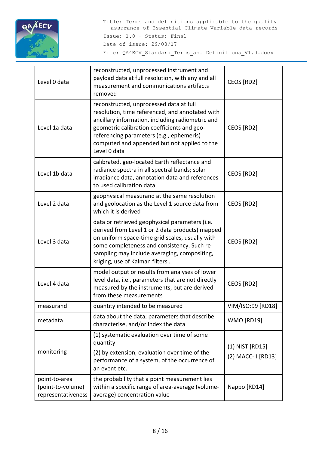

| Level 0 data                                             | reconstructed, unprocessed instrument and<br>payload data at full resolution, with any and all<br>measurement and communications artifacts<br>removed                                                                                                                                                     | CEOS [RD2]                            |
|----------------------------------------------------------|-----------------------------------------------------------------------------------------------------------------------------------------------------------------------------------------------------------------------------------------------------------------------------------------------------------|---------------------------------------|
| Level 1a data                                            | reconstructed, unprocessed data at full<br>resolution, time referenced, and annotated with<br>ancillary information, including radiometric and<br>geometric calibration coefficients and geo-<br>referencing parameters (e.g., ephemeris)<br>computed and appended but not applied to the<br>Level 0 data | CEOS [RD2]                            |
| Level 1b data                                            | calibrated, geo-located Earth reflectance and<br>radiance spectra in all spectral bands; solar<br>irradiance data, annotation data and references<br>to used calibration data                                                                                                                             | CEOS [RD2]                            |
| Level 2 data                                             | geophysical measurand at the same resolution<br>and geolocation as the Level 1 source data from<br>which it is derived                                                                                                                                                                                    | CEOS [RD2]                            |
| Level 3 data                                             | data or retrieved geophysical parameters (i.e.<br>derived from Level 1 or 2 data products) mapped<br>on uniform space-time grid scales, usually with<br>some completeness and consistency. Such re-<br>sampling may include averaging, compositing,<br>kriging, use of Kalman filters                     | CEOS [RD2]                            |
| Level 4 data                                             | model output or results from analyses of lower<br>level data, i.e., parameters that are not directly<br>measured by the instruments, but are derived<br>from these measurements                                                                                                                           | CEOS [RD2]                            |
| measurand                                                | quantity intended to be measured                                                                                                                                                                                                                                                                          | VIM/ISO:99 [RD18]                     |
| metadata                                                 | data about the data; parameters that describe,<br>characterise, and/or index the data                                                                                                                                                                                                                     | <b>WMO [RD19]</b>                     |
| monitoring                                               | (1) systematic evaluation over time of some<br>quantity<br>(2) by extension, evaluation over time of the<br>performance of a system, of the occurrence of<br>an event etc.                                                                                                                                | (1) NIST [RD15]<br>(2) MACC-II [RD13] |
| point-to-area<br>(point-to-volume)<br>representativeness | the probability that a point measurement lies<br>within a specific range of area-average (volume-<br>average) concentration value                                                                                                                                                                         | Nappo [RD14]                          |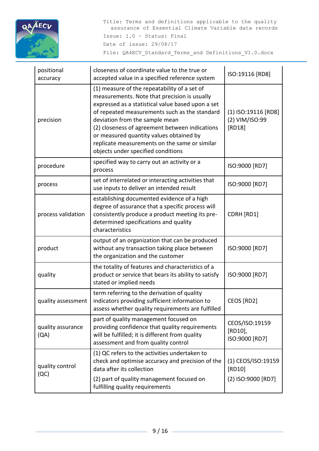

| positional<br>accuracy    | closeness of coordinate value to the true or<br>accepted value in a specified reference system                                                                                                                                                                                                                                                                                                                           | ISO:19116 [RD8]                                    |
|---------------------------|--------------------------------------------------------------------------------------------------------------------------------------------------------------------------------------------------------------------------------------------------------------------------------------------------------------------------------------------------------------------------------------------------------------------------|----------------------------------------------------|
| precision                 | (1) measure of the repeatability of a set of<br>measurements. Note that precision is usually<br>expressed as a statistical value based upon a set<br>of repeated measurements such as the standard<br>deviation from the sample mean<br>(2) closeness of agreement between indications<br>or measured quantity values obtained by<br>replicate measurements on the same or similar<br>objects under specified conditions | (1) ISO:19116 [RD8]<br>(2) VIM/ISO:99<br>[RD18]    |
| procedure                 | specified way to carry out an activity or a<br>process                                                                                                                                                                                                                                                                                                                                                                   | ISO:9000 [RD7]                                     |
| process                   | set of interrelated or interacting activities that<br>use inputs to deliver an intended result                                                                                                                                                                                                                                                                                                                           | ISO:9000 [RD7]                                     |
| process validation        | establishing documented evidence of a high<br>degree of assurance that a specific process will<br>consistently produce a product meeting its pre-<br>determined specifications and quality<br>characteristics                                                                                                                                                                                                            | CDRH [RD1]                                         |
| product                   | output of an organization that can be produced<br>without any transaction taking place between<br>the organization and the customer                                                                                                                                                                                                                                                                                      | ISO:9000 [RD7]                                     |
| quality                   | the totality of features and characteristics of a<br>product or service that bears its ability to satisfy<br>stated or implied needs                                                                                                                                                                                                                                                                                     | ISO:9000 [RD7]                                     |
| quality assessment        | term referring to the derivation of quality<br>indicators providing sufficient information to<br>assess whether quality requirements are fulfilled                                                                                                                                                                                                                                                                       | CEOS [RD2]                                         |
| quality assurance<br>(QA) | part of quality management focused on<br>providing confidence that quality requirements<br>will be fulfilled; it is different from quality<br>assessment and from quality control                                                                                                                                                                                                                                        | CEOS/ISO:19159<br>[RD10],<br>ISO:9000 [RD7]        |
| quality control<br>(QC)   | (1) QC refers to the activities undertaken to<br>check and optimise accuracy and precision of the<br>data after its collection<br>(2) part of quality management focused on                                                                                                                                                                                                                                              | (1) CEOS/ISO:19159<br>[RD10]<br>(2) ISO:9000 [RD7] |
|                           | fulfilling quality requirements                                                                                                                                                                                                                                                                                                                                                                                          |                                                    |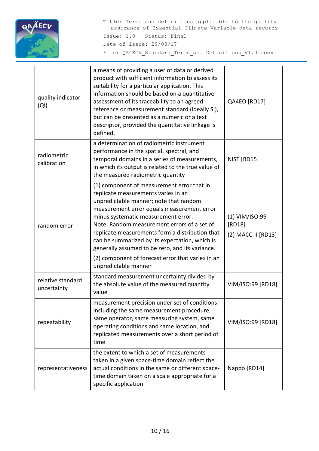

| quality indicator<br>(QI)        | a means of providing a user of data or derived<br>product with sufficient information to assess its<br>suitability for a particular application. This<br>information should be based on a quantitative<br>assessment of its traceability to an agreed<br>reference or measurement standard (ideally SI),<br>but can be presented as a numeric or a text<br>descriptor, provided the quantitative linkage is<br>defined.                                                                              | QA4EO [RD17]                                   |
|----------------------------------|------------------------------------------------------------------------------------------------------------------------------------------------------------------------------------------------------------------------------------------------------------------------------------------------------------------------------------------------------------------------------------------------------------------------------------------------------------------------------------------------------|------------------------------------------------|
| radiometric<br>calibration       | a determination of radiometric instrument<br>performance in the spatial, spectral, and<br>temporal domains in a series of measurements,<br>in which its output is related to the true value of<br>the measured radiometric quantity                                                                                                                                                                                                                                                                  | NIST [RD15]                                    |
| random error                     | (1) component of measurement error that in<br>replicate measurements varies in an<br>unpredictable manner; note that random<br>measurement error equals measurement error<br>minus systematic measurement error.<br>Note: Random measurement errors of a set of<br>replicate measurements form a distribution that<br>can be summarized by its expectation, which is<br>generally assumed to be zero, and its variance.<br>(2) component of forecast error that varies in an<br>unpredictable manner | (1) VIM/ISO:99<br>[RD18]<br>(2) MACC-II [RD13] |
| relative standard<br>uncertainty | standard measurement uncertainty divided by<br>the absolute value of the measured quantity<br>value                                                                                                                                                                                                                                                                                                                                                                                                  | VIM/ISO:99 [RD18]                              |
| repeatability                    | measurement precision under set of conditions<br>including the same measurement procedure,<br>same operator, same measuring system, same<br>operating conditions and same location, and<br>replicated measurements over a short period of<br>time                                                                                                                                                                                                                                                    | VIM/ISO:99 [RD18]                              |
| representativeness               | the extent to which a set of measurements<br>taken in a given space-time domain reflect the<br>actual conditions in the same or different space-<br>time domain taken on a scale appropriate for a<br>specific application                                                                                                                                                                                                                                                                           | Nappo [RD14]                                   |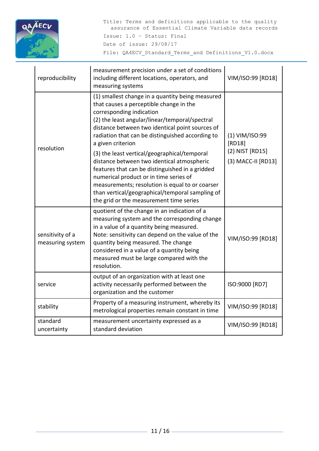

| reproducibility                      | measurement precision under a set of conditions<br>including different locations, operators, and<br>measuring systems                                                                                                                                                                                                                                                                                                                                                                                                                                                                                                                             | VIM/ISO:99 [RD18]                                                 |
|--------------------------------------|---------------------------------------------------------------------------------------------------------------------------------------------------------------------------------------------------------------------------------------------------------------------------------------------------------------------------------------------------------------------------------------------------------------------------------------------------------------------------------------------------------------------------------------------------------------------------------------------------------------------------------------------------|-------------------------------------------------------------------|
| resolution                           | (1) smallest change in a quantity being measured<br>that causes a perceptible change in the<br>corresponding indication<br>(2) the least angular/linear/temporal/spectral<br>distance between two identical point sources of<br>radiation that can be distinguished according to<br>a given criterion<br>(3) the least vertical/geographical/temporal<br>distance between two identical atmospheric<br>features that can be distinguished in a gridded<br>numerical product or in time series of<br>measurements; resolution is equal to or coarser<br>than vertical/geographical/temporal sampling of<br>the grid or the measurement time series | (1) VIM/ISO:99<br>[RD18]<br>(2) NIST [RD15]<br>(3) MACC-II [RD13] |
| sensitivity of a<br>measuring system | quotient of the change in an indication of a<br>measuring system and the corresponding change<br>in a value of a quantity being measured.<br>Note: sensitivity can depend on the value of the<br>quantity being measured. The change<br>considered in a value of a quantity being<br>measured must be large compared with the<br>resolution.                                                                                                                                                                                                                                                                                                      | VIM/ISO:99 [RD18]                                                 |
| service                              | output of an organization with at least one<br>activity necessarily performed between the<br>organization and the customer                                                                                                                                                                                                                                                                                                                                                                                                                                                                                                                        | ISO:9000 [RD7]                                                    |
| stability                            | Property of a measuring instrument, whereby its<br>metrological properties remain constant in time                                                                                                                                                                                                                                                                                                                                                                                                                                                                                                                                                | VIM/ISO:99 [RD18]                                                 |
| standard<br>uncertainty              | measurement uncertainty expressed as a<br>standard deviation                                                                                                                                                                                                                                                                                                                                                                                                                                                                                                                                                                                      | VIM/ISO:99 [RD18]                                                 |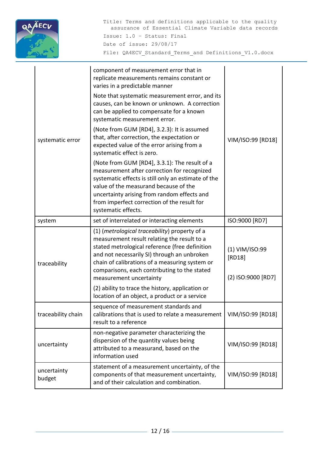

| systematic error      | component of measurement error that in<br>replicate measurements remains constant or<br>varies in a predictable manner<br>Note that systematic measurement error, and its<br>causes, can be known or unknown. A correction<br>can be applied to compensate for a known<br>systematic measurement error.<br>(Note from GUM [RD4], 3.2.3): It is assumed<br>that, after correction, the expectation or<br>expected value of the error arising from a<br>systematic effect is zero.<br>(Note from GUM [RD4], 3.3.1): The result of a<br>measurement after correction for recognized<br>systematic effects is still only an estimate of the<br>value of the measurand because of the<br>uncertainty arising from random effects and<br>from imperfect correction of the result for<br>systematic effects. | VIM/ISO:99 [RD18]                              |
|-----------------------|-------------------------------------------------------------------------------------------------------------------------------------------------------------------------------------------------------------------------------------------------------------------------------------------------------------------------------------------------------------------------------------------------------------------------------------------------------------------------------------------------------------------------------------------------------------------------------------------------------------------------------------------------------------------------------------------------------------------------------------------------------------------------------------------------------|------------------------------------------------|
| system                | set of interrelated or interacting elements                                                                                                                                                                                                                                                                                                                                                                                                                                                                                                                                                                                                                                                                                                                                                           | ISO:9000 [RD7]                                 |
| traceability          | (1) (metrological traceability) property of a<br>measurement result relating the result to a<br>stated metrological reference (free definition<br>and not necessarily SI) through an unbroken<br>chain of calibrations of a measuring system or<br>comparisons, each contributing to the stated<br>measurement uncertainty                                                                                                                                                                                                                                                                                                                                                                                                                                                                            | (1) VIM/ISO:99<br>[RD18]<br>(2) ISO:9000 [RD7] |
|                       | (2) ability to trace the history, application or<br>location of an object, a product or a service                                                                                                                                                                                                                                                                                                                                                                                                                                                                                                                                                                                                                                                                                                     |                                                |
| traceability chain    | sequence of measurement standards and<br>calibrations that is used to relate a measurement<br>result to a reference                                                                                                                                                                                                                                                                                                                                                                                                                                                                                                                                                                                                                                                                                   | VIM/ISO:99 [RD18]                              |
| uncertainty           | non-negative parameter characterizing the<br>dispersion of the quantity values being<br>attributed to a measurand, based on the<br>information used                                                                                                                                                                                                                                                                                                                                                                                                                                                                                                                                                                                                                                                   | VIM/ISO:99 [RD18]                              |
| uncertainty<br>budget | statement of a measurement uncertainty, of the<br>components of that measurement uncertainty,<br>and of their calculation and combination.                                                                                                                                                                                                                                                                                                                                                                                                                                                                                                                                                                                                                                                            | VIM/ISO:99 [RD18]                              |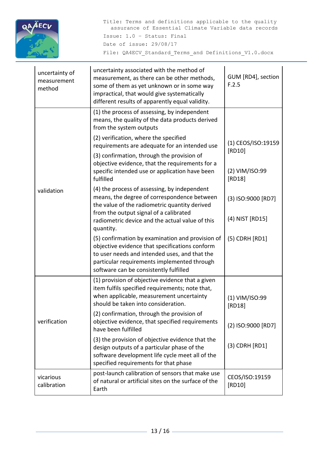

<span id="page-12-0"></span>

| uncertainty of<br>measurement<br>method | uncertainty associated with the method of<br>measurement, as there can be other methods,<br>some of them as yet unknown or in some way<br>impractical, that would give systematically<br>different results of apparently equal validity.     | GUM [RD4], section<br>F.2.5  |
|-----------------------------------------|----------------------------------------------------------------------------------------------------------------------------------------------------------------------------------------------------------------------------------------------|------------------------------|
|                                         | (1) the process of assessing, by independent<br>means, the quality of the data products derived<br>from the system outputs                                                                                                                   |                              |
|                                         | (2) verification, where the specified<br>requirements are adequate for an intended use                                                                                                                                                       | (1) CEOS/ISO:19159<br>[RD10] |
|                                         | (3) confirmation, through the provision of<br>objective evidence, that the requirements for a<br>specific intended use or application have been<br>fulfilled                                                                                 | (2) VIM/ISO:99<br>[RD18]     |
| validation                              | (4) the process of assessing, by independent<br>means, the degree of correspondence between<br>the value of the radiometric quantity derived<br>from the output signal of a calibrated                                                       | (3) ISO:9000 [RD7]           |
|                                         | radiometric device and the actual value of this<br>quantity.                                                                                                                                                                                 | (4) NIST [RD15]              |
|                                         | (5) confirmation by examination and provision of<br>objective evidence that specifications conform<br>to user needs and intended uses, and that the<br>particular requirements implemented through<br>software can be consistently fulfilled | (5) CDRH [RD1]               |
|                                         | (1) provision of objective evidence that a given<br>item fulfils specified requirements; note that,<br>when applicable, measurement uncertainty<br>should be taken into consideration.                                                       | (1) VIM/ISO:99<br>[RD18]     |
| verification                            | (2) confirmation, through the provision of<br>objective evidence, that specified requirements<br>have been fulfilled                                                                                                                         | (2) ISO:9000 [RD7]           |
|                                         | (3) the provision of objective evidence that the<br>design outputs of a particular phase of the<br>software development life cycle meet all of the<br>specified requirements for that phase                                                  | (3) CDRH [RD1]               |
| vicarious<br>calibration                | post-launch calibration of sensors that make use<br>of natural or artificial sites on the surface of the<br>Earth                                                                                                                            | CEOS/ISO:19159<br>[RD10]     |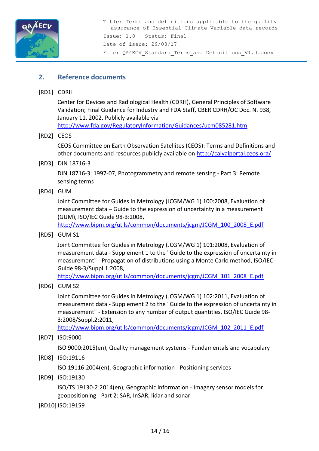

# **2. Reference documents**

<span id="page-13-8"></span>[RD1] CDRH

Center for Devices and Radiological Health (CDRH), General Principles of Software Validation; Final Guidance for Industry and FDA Staff, CBER CDRH/OC Doc. N. 938, January 11, 2002. Publicly available via <http://www.fda.gov/RegulatoryInformation/Guidances/ucm085281.htm>

<span id="page-13-1"></span>[RD2] CEOS

CEOS Committee on Earth Observation Satellites (CEOS): Terms and Definitions and other documents and resources publicly available on<http://calvalportal.ceos.org/>

<span id="page-13-5"></span>[RD3] DIN 18716-3

DIN 18716-3: 1997-07, Photogrammetry and remote sensing - Part 3: Remote sensing terms

<span id="page-13-0"></span>[RD4] GUM

Joint Committee for Guides in Metrology (JCGM/WG 1) 100:2008, Evaluation of measurement data – Guide to the expression of uncertainty in a measurement (GUM), ISO/IEC Guide 98-3:2008,

[http://www.bipm.org/utils/common/documents/jcgm/JCGM\\_100\\_2008\\_E.pdf](http://www.bipm.org/utils/common/documents/jcgm/JCGM_100_2008_E.pdf)

[RD5] GUM S1

Joint Committee for Guides in Metrology (JCGM/WG 1) 101:2008, Evaluation of measurement data - Supplement 1 to the "Guide to the expression of uncertainty in measurement" - Propagation of distributions using a Monte Carlo method, ISO/IEC Guide 98-3/Suppl.1:2008,

[http://www.bipm.org/utils/common/documents/jcgm/JCGM\\_101\\_2008\\_E.pdf](http://www.bipm.org/utils/common/documents/jcgm/JCGM_101_2008_E.pdf)

<span id="page-13-4"></span>[RD6] GUM S2

Joint Committee for Guides in Metrology (JCGM/WG 1) 102:2011, Evaluation of measurement data - Supplement 2 to the "Guide to the expression of uncertainty in measurement" - Extension to any number of output quantities, ISO/IEC Guide 98- 3:2008/Suppl.2:2011,

[http://www.bipm.org/utils/common/documents/jcgm/JCGM\\_102\\_2011\\_E.pdf](http://www.bipm.org/utils/common/documents/jcgm/JCGM_102_2011_E.pdf)

<span id="page-13-2"></span>[RD7] ISO:9000

ISO 9000:2015(en), Quality management systems - Fundamentals and vocabulary

- <span id="page-13-7"></span>[RD8] ISO:19116 ISO 19116:2004(en), Geographic information - Positioning services
- <span id="page-13-6"></span>[RD9] ISO:19130

ISO/TS 19130-2:2014(en), Geographic information - Imagery sensor models for geopositioning - Part 2: SAR, InSAR, lidar and sonar

<span id="page-13-3"></span>[RD10] ISO:19159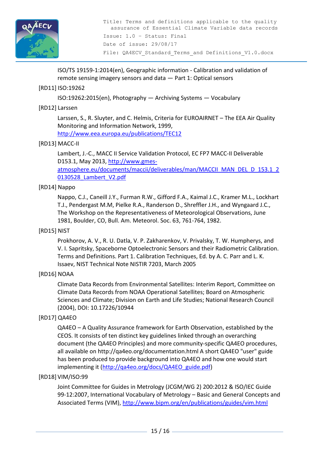

ISO/TS 19159-1:2014(en), Geographic information - Calibration and validation of remote sensing imagery sensors and data — Part 1: Optical sensors

# <span id="page-14-5"></span>[RD11] ISO:19262

ISO:19262:2015(en), Photography — Archiving Systems — Vocabulary

#### <span id="page-14-2"></span>[RD12] Larssen

Larssen, S., R. Sluyter, and C. Helmis, Criteria for EUROAIRNET – The EEA Air Quality Monitoring and Information Network, 1999,

<http://www.eea.europa.eu/publications/TEC12>

#### <span id="page-14-3"></span>[RD13] MACC-II

Lambert, J.-C., MACC II Service Validation Protocol, EC FP7 MACC-II Deliverable D153.1, May 2013, [http://www.gmes](http://www.gmes-atmosphere.eu/documents/maccii/deliverables/man/MACCII_MAN_DEL_D_153.1_20130528_Lambert_V2.pdf)[atmosphere.eu/documents/maccii/deliverables/man/MACCII\\_MAN\\_DEL\\_D\\_153.1\\_2](http://www.gmes-atmosphere.eu/documents/maccii/deliverables/man/MACCII_MAN_DEL_D_153.1_20130528_Lambert_V2.pdf)

[0130528\\_Lambert\\_V2.pdf](http://www.gmes-atmosphere.eu/documents/maccii/deliverables/man/MACCII_MAN_DEL_D_153.1_20130528_Lambert_V2.pdf)

# <span id="page-14-7"></span>[RD14] Nappo

Nappo, C.J., Caneill J.Y., Furman R.W., Gifford F.A., Kaimal J.C., Kramer M.L., Lockhart T.J., Pendergast M.M, Pielke R.A., Randerson D., Shreffler J.H., and Wyngaard J.C., The Workshop on the Representativeness of Meteorological Observations, June 1981, Boulder, CO, Bull. Am. Meteorol. Soc. 63, 761-764, 1982.

#### <span id="page-14-6"></span>[RD15] NIST

Prokhorov, A. V., R. U. Datla, V. P. Zakharenkov, V. Privalsky, T. W. Humpherys, and V. I. Sapritsky, Spaceborne Optoelectronic Sensors and their Radiometric Calibration. Terms and Definitions. Part 1. Calibration Techniques, Ed. by A. C. Parr and L. K. Issaev, NIST Technical Note NISTIR 7203, March 2005

# <span id="page-14-4"></span>[RD16] NOAA

Climate Data Records from Environmental Satellites: Interim Report, Committee on Climate Data Records from NOAA Operational Satellites; Board on Atmospheric Sciences and Climate; Division on Earth and Life Studies; National Research Council (2004), DOI: 10.17226/10944

#### <span id="page-14-1"></span>[RD17] QA4EO

QA4EO – A Quality Assurance framework for Earth Observation, established by the CEOS. It consists of ten distinct key guidelines linked through an overarching document (the QA4EO Principles) and more community-specific QA4EO procedures, all available on http://qa4eo.org/documentation.html A short QA4EO "user" guide has been produced to provide background into QA4EO and how one would start implementing it [\(http://qa4eo.org/docs/QA4EO\\_guide.pdf\)](http://qa4eo.org/docs/QA4EO_guide.pdf)

#### <span id="page-14-0"></span>[RD18] VIM/ISO:99

Joint Committee for Guides in Metrology (JCGM/WG 2) 200:2012 & ISO/IEC Guide 99-12:2007, International Vocabulary of Metrology – Basic and General Concepts and Associated Terms (VIM),<http://www.bipm.org/en/publications/guides/vim.html>